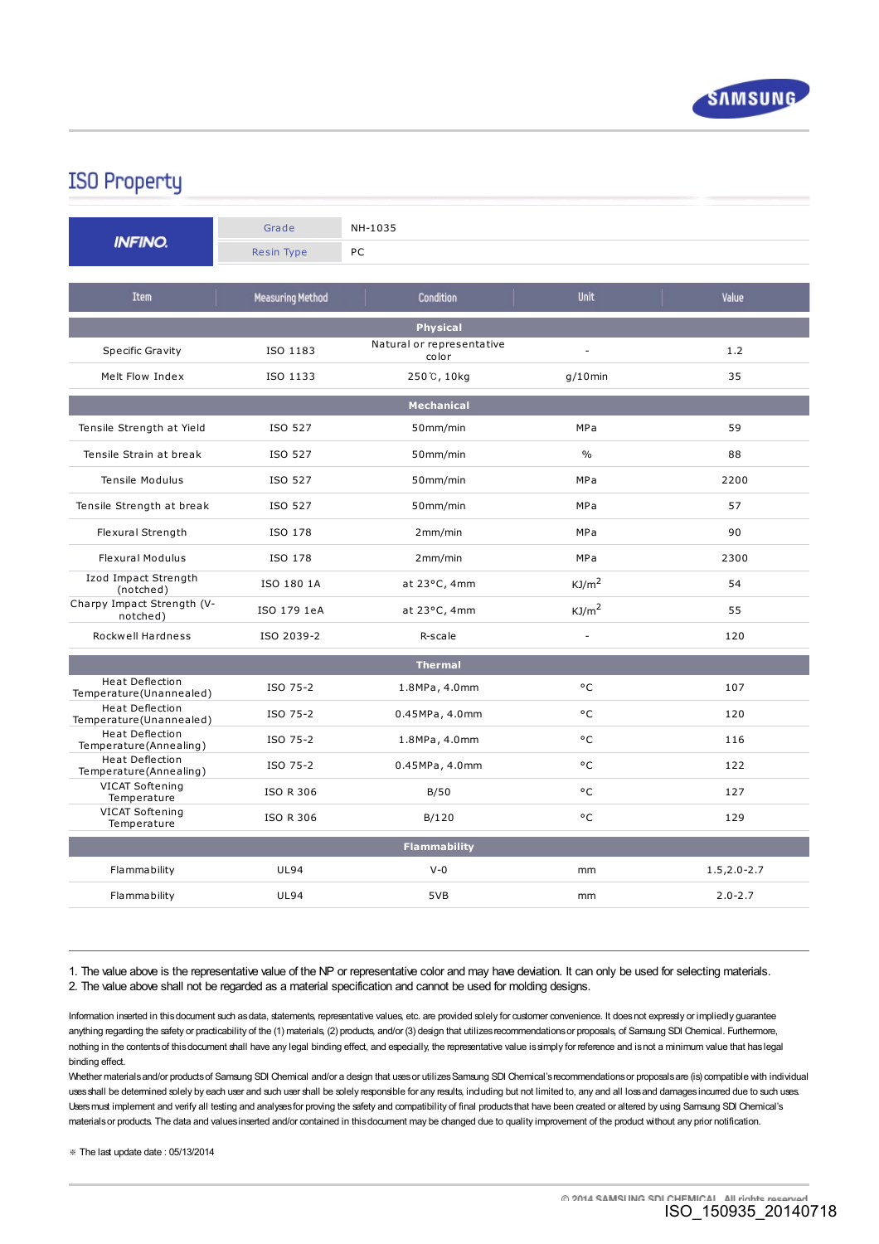

## **ISO Property**

| <b>INFINO.</b>                                    | Grade                   | NH-1035                            |                          |                  |
|---------------------------------------------------|-------------------------|------------------------------------|--------------------------|------------------|
|                                                   | <b>Resin Type</b>       | PC                                 |                          |                  |
| <b>Item</b>                                       | <b>Measuring Method</b> | <b>Condition</b>                   | Unit                     | Value            |
| <b>Physical</b>                                   |                         |                                    |                          |                  |
| Specific Gravity                                  | ISO 1183                | Natural or representative<br>color | $\overline{a}$           | 1.2              |
| Melt Flow Index                                   | ISO 1133                | 250℃, 10kg                         | $g/10$ min               | 35               |
|                                                   |                         | <b>Mechanical</b>                  |                          |                  |
| Tensile Strength at Yield                         | ISO 527                 | 50mm/min                           | MPa                      | 59               |
| Tensile Strain at break                           | ISO 527                 | 50mm/min                           | $\%$                     | 88               |
| Tensile Modulus                                   | ISO 527                 | 50mm/min                           | MPa                      | 2200             |
| Tensile Strength at break                         | ISO 527                 | 50mm/min                           | MPa                      | 57               |
| Flexural Strength                                 | ISO 178                 | 2mm/min                            | <b>MPa</b>               | 90               |
| <b>Flexural Modulus</b>                           | ISO 178                 | 2mm/min                            | MPa                      | 2300             |
| Izod Impact Strength<br>(notched)                 | ISO 180 1A              | at 23°C, 4mm                       | KJ/m <sup>2</sup>        | 54               |
| Charpy Impact Strength (V-<br>notched)            | ISO 179 1eA             | at 23°C, 4mm                       | KJ/m <sup>2</sup>        | 55               |
| Rockwell Hardness                                 | ISO 2039-2              | R-scale                            | $\overline{\phantom{a}}$ | 120              |
|                                                   |                         | <b>Thermal</b>                     |                          |                  |
| <b>Heat Deflection</b><br>Temperature(Unannealed) | ISO 75-2                | 1.8MPa, 4.0mm                      | °C                       | 107              |
| Heat Deflection<br>Temperature(Unannealed)        | ISO 75-2                | 0.45MPa, 4.0mm                     | °C                       | 120              |
| <b>Heat Deflection</b><br>Temperature(Annealing)  | ISO 75-2                | 1.8MPa, 4.0mm                      | ۰c                       | 116              |
| <b>Heat Deflection</b><br>Temperature(Annealing)  | ISO 75-2                | 0.45MPa, 4.0mm                     | °C                       | 122              |
| VICAT Softening<br>Temperature                    | <b>ISO R 306</b>        | B/50                               | °C                       | 127              |
| VICAT Softening<br>Temperature                    | <b>ISO R 306</b>        | B/120                              | °C                       | 129              |
| <b>Flammability</b>                               |                         |                                    |                          |                  |
| Flammability                                      | <b>UL94</b>             | $V - 0$                            | mm                       | $1.5, 2.0 - 2.7$ |
| Flammability                                      | <b>UL94</b>             | 5VB                                | mm                       | $2.0 - 2.7$      |

1. The value above is the representative value of the NP or representative color and may have deviation. It can only be used for selecting materials. 2. The value above shall not be regarded as a material specification and cannot be used for molding designs.

Information inserted in this document such as data, statements, representative values, etc. are provided solely for customer convenience. It does not expressly or impliedly guarantee anything regarding the safety or practicability of the (1) materials, (2) products, and/or (3) design that utilizes recommendations or proposals, of Samsung SDI Chemical. Furthermore, nothing in the contentsof thisdocument shall have any legal binding effect, and especially, the representative value issimply for reference and isnot a minimum value that haslegal binding effect.

Whether materials and/or products of Samsung SDI Chemical and/or a design that uses or utilizes Samsung SDI Chemical's recommendations or proposals are (is) compatible with individual uses shall be determined solely by each user and such user shall be solely responsible for any results, including but not limited to, any and all loss and damages incurred due to such uses. Users must implement and verify all testing and analyses for proving the safety and compatibility of final products that have been created or altered by using Samsung SDI Chemical's materialsor products. The data and valuesinserted and/or contained in thisdocument may be changed due to quality improvement of the product without any prior notification.

- The last update date : 05/13/2014